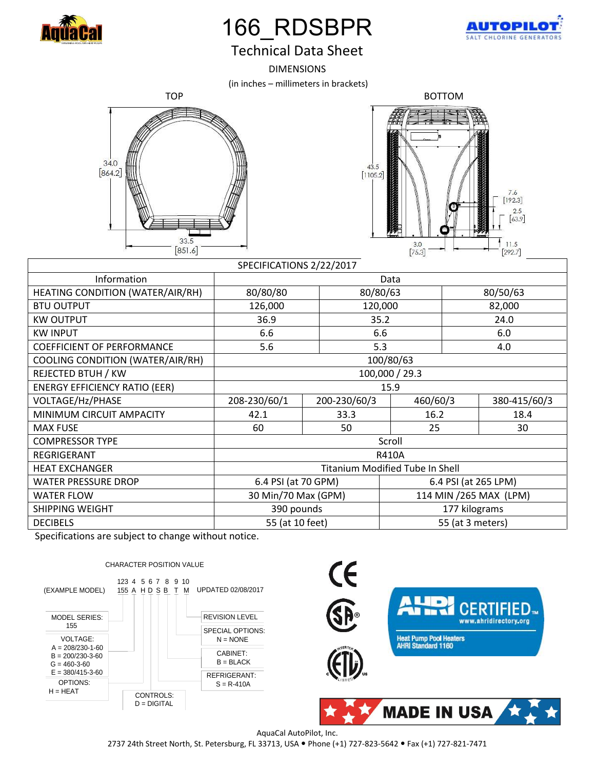

## 166\_RDSBPR



## Technical Data Sheet

DIMENSIONS

(in inches – millimeters in brackets)





| SPECIFICATIONS 2/22/2017             |                                        |              |                         |              |  |
|--------------------------------------|----------------------------------------|--------------|-------------------------|--------------|--|
| Information                          | Data                                   |              |                         |              |  |
| HEATING CONDITION (WATER/AIR/RH)     | 80/80/80                               | 80/80/63     |                         | 80/50/63     |  |
| <b>BTU OUTPUT</b>                    | 126,000                                |              | 120,000                 | 82,000       |  |
| <b>KW OUTPUT</b>                     | 36.9                                   |              | 35.2                    | 24.0         |  |
| <b>KW INPUT</b>                      | 6.6                                    |              | 6.6                     | 6.0          |  |
| <b>COEFFICIENT OF PERFORMANCE</b>    | 5.6                                    |              | 5.3                     | 4.0          |  |
| COOLING CONDITION (WATER/AIR/RH)     | 100/80/63                              |              |                         |              |  |
| REJECTED BTUH / KW                   | 100,000 / 29.3                         |              |                         |              |  |
| <b>ENERGY EFFICIENCY RATIO (EER)</b> | 15.9                                   |              |                         |              |  |
| VOLTAGE/Hz/PHASE                     | 208-230/60/1                           | 200-230/60/3 | 460/60/3                | 380-415/60/3 |  |
| MINIMUM CIRCUIT AMPACITY             | 42.1                                   | 33.3         | 16.2                    | 18.4         |  |
| <b>MAX FUSE</b>                      | 60                                     | 50           | 25                      | 30           |  |
| <b>COMPRESSOR TYPE</b>               | Scroll                                 |              |                         |              |  |
| <b>REGRIGERANT</b>                   | <b>R410A</b>                           |              |                         |              |  |
| <b>HEAT EXCHANGER</b>                | <b>Titanium Modified Tube In Shell</b> |              |                         |              |  |
| <b>WATER PRESSURE DROP</b>           | 6.4 PSI (at 70 GPM)                    |              | 6.4 PSI (at 265 LPM)    |              |  |
| <b>WATER FLOW</b>                    | 30 Min/70 Max (GPM)                    |              | 114 MIN / 265 MAX (LPM) |              |  |
| SHIPPING WEIGHT                      | 390 pounds                             |              | 177 kilograms           |              |  |
| <b>DECIBELS</b>                      | 55 (at 10 feet)                        |              | 55 (at 3 meters)        |              |  |

Specifications are subject to change without notice.



AquaCal AutoPilot, Inc.

2737 24th Street North, St. Petersburg, FL 33713, USA Phone (+1) 727-823-5642 Fax (+1) 727-821-7471